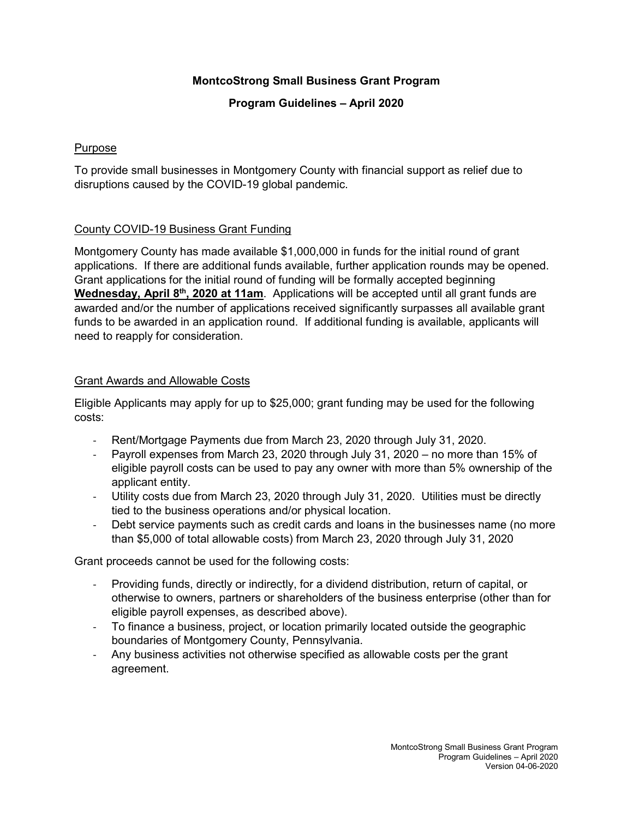# **MontcoStrong Small Business Grant Program**

### **Program Guidelines – April 2020**

#### Purpose

To provide small businesses in Montgomery County with financial support as relief due to disruptions caused by the COVID-19 global pandemic.

# County COVID-19 Business Grant Funding

Montgomery County has made available \$1,000,000 in funds for the initial round of grant applications. If there are additional funds available, further application rounds may be opened. Grant applications for the initial round of funding will be formally accepted beginning **Wednesday, April 8th, 2020 at 11am**. Applications will be accepted until all grant funds are awarded and/or the number of applications received significantly surpasses all available grant funds to be awarded in an application round. If additional funding is available, applicants will need to reapply for consideration.

#### Grant Awards and Allowable Costs

Eligible Applicants may apply for up to \$25,000; grant funding may be used for the following costs:

- Rent/Mortgage Payments due from March 23, 2020 through July 31, 2020.
- Payroll expenses from March 23, 2020 through July 31, 2020 no more than 15% of eligible payroll costs can be used to pay any owner with more than 5% ownership of the applicant entity.
- Utility costs due from March 23, 2020 through July 31, 2020. Utilities must be directly tied to the business operations and/or physical location.
- Debt service payments such as credit cards and loans in the businesses name (no more than \$5,000 of total allowable costs) from March 23, 2020 through July 31, 2020

Grant proceeds cannot be used for the following costs:

- Providing funds, directly or indirectly, for a dividend distribution, return of capital, or otherwise to owners, partners or shareholders of the business enterprise (other than for eligible payroll expenses, as described above).
- To finance a business, project, or location primarily located outside the geographic boundaries of Montgomery County, Pennsylvania.
- Any business activities not otherwise specified as allowable costs per the grant agreement.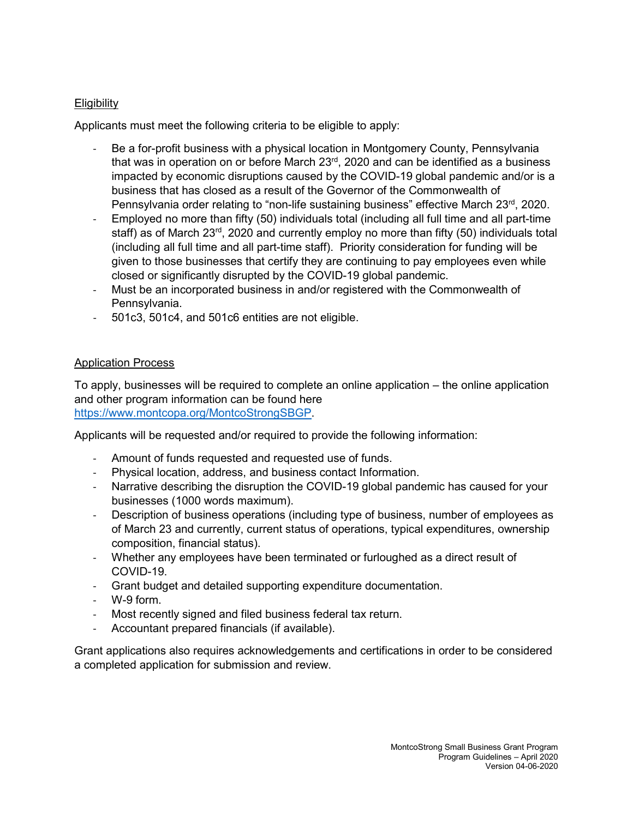# **Eligibility**

Applicants must meet the following criteria to be eligible to apply:

- Be a for-profit business with a physical location in Montgomery County, Pennsylvania that was in operation on or before March  $23<sup>rd</sup>$ , 2020 and can be identified as a business impacted by economic disruptions caused by the COVID-19 global pandemic and/or is a business that has closed as a result of the Governor of the Commonwealth of Pennsylvania order relating to "non-life sustaining business" effective March 23rd, 2020.
- Employed no more than fifty (50) individuals total (including all full time and all part-time staff) as of March 23<sup>rd</sup>, 2020 and currently employ no more than fifty (50) individuals total (including all full time and all part-time staff). Priority consideration for funding will be given to those businesses that certify they are continuing to pay employees even while closed or significantly disrupted by the COVID-19 global pandemic.
- Must be an incorporated business in and/or registered with the Commonwealth of Pennsylvania.
- 501c3, 501c4, and 501c6 entities are not eligible.

#### Application Process

To apply, businesses will be required to complete an online application – the online application and other program information can be found here [https://www.montcopa.org/MontcoStrongSBGP.](https://www.montcopa.org/MontcoStrongSBGP)

Applicants will be requested and/or required to provide the following information:

- Amount of funds requested and requested use of funds.
- Physical location, address, and business contact Information.
- Narrative describing the disruption the COVID-19 global pandemic has caused for your businesses (1000 words maximum).
- Description of business operations (including type of business, number of employees as of March 23 and currently, current status of operations, typical expenditures, ownership composition, financial status).
- Whether any employees have been terminated or furloughed as a direct result of COVID-19.
- Grant budget and detailed supporting expenditure documentation.
- W-9 form.
- Most recently signed and filed business federal tax return.
- Accountant prepared financials (if available).

Grant applications also requires acknowledgements and certifications in order to be considered a completed application for submission and review.